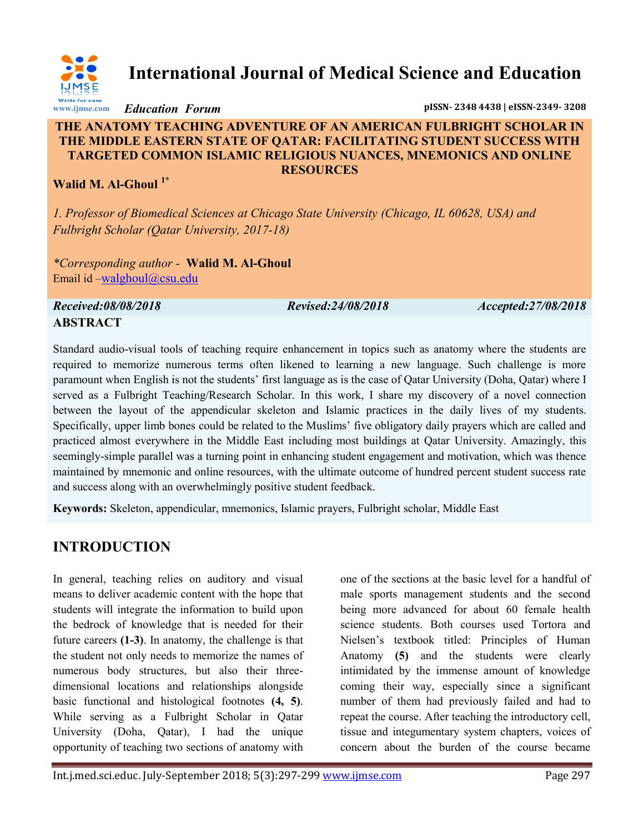

**International Journal of Medical Science and Education**

*Education Forum* **pISSN- 2348 4438 | eISSN-2349- 3208**

#### **THE ANATOMY TEACHING ADVENTURE OF AN AMERICAN FULBRIGHT SCHOLAR IN THE MIDDLE EASTERN STATE OF QATAR: FACILITATING STUDENT SUCCESS WITH TARGETED COMMON ISLAMIC RELIGIOUS NUANCES, MNEMONICS AND ONLINE RESOURCES**

#### **Walid M. Al-Ghoul 1\***

*1. Professor of Biomedical Sciences at Chicago State University (Chicago, IL 60628, USA) and Fulbright Scholar (Qatar University, 2017-18)*

*\*Corresponding author -* **Walid M. Al-Ghoul** Email id –[walghoul@csu.edu](mailto:walghoul@csu.edu)

*Received:08/08/2018 Revised:24/08/2018 Accepted:27/08/2018* **ABSTRACT**

Standard audio-visual tools of teaching require enhancement in topics such as anatomy where the students are required to memorize numerous terms often likened to learning a new language. Such challenge is more paramount when English is not the students' first language as is the case of Qatar University (Doha, Qatar) where I served as a Fulbright Teaching/Research Scholar. In this work, I share my discovery of a novel connection between the layout of the appendicular skeleton and Islamic practices in the daily lives of my students. Specifically, upper limb bones could be related to the Muslims' five obligatory daily prayers which are called and practiced almost everywhere in the Middle East including most buildings at Qatar University. Amazingly, this seemingly-simple parallel was a turning point in enhancing student engagement and motivation, which was thence maintained by mnemonic and online resources, with the ultimate outcome of hundred percent student success rate

**Keywords:** Skeleton, appendicular, mnemonics, Islamic prayers, Fulbright scholar, Middle East

and success along with an overwhelmingly positive student feedback.

# **INTRODUCTION**

In general, teaching relies on auditory and visual means to deliver academic content with the hope that students will integrate the information to build upon the bedrock of knowledge that is needed for their future careers **(1-3)**. In anatomy, the challenge is that the student not only needs to memorize the names of numerous body structures, but also their threedimensional locations and relationships alongside basic functional and histological footnotes **(4, 5)**. While serving as a Fulbright Scholar in Qatar University (Doha, Qatar), I had the unique opportunity of teaching two sections of anatomy with

one of the sections at the basic level for a handful of male sports management students and the second being more advanced for about 60 female health science students. Both courses used Tortora and Nielsen's textbook titled: Principles of Human Anatomy **(5)** and the students were clearly intimidated by the immense amount of knowledge coming their way, especially since a significant number of them had previously failed and had to repeat the course. After teaching the introductory cell, tissue and integumentary system chapters, voices of concern about the burden of the course became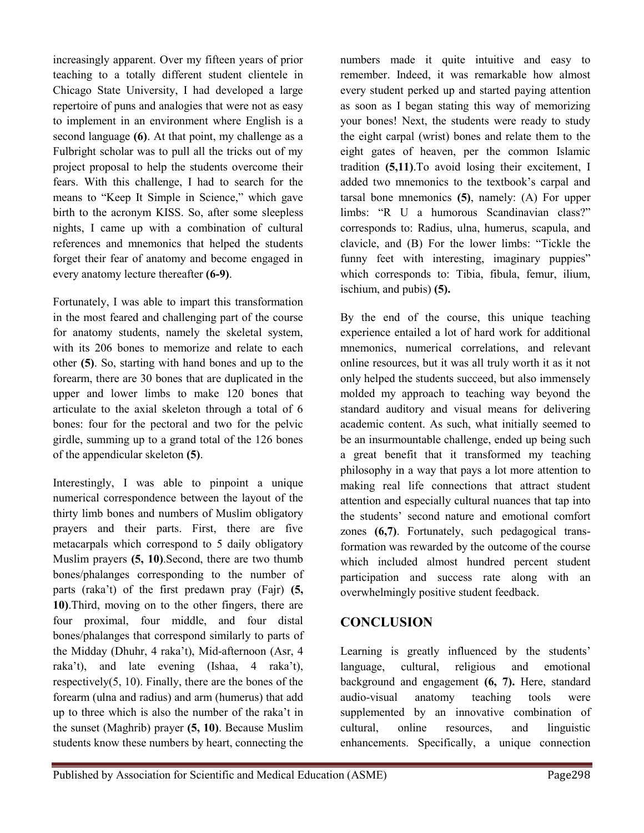increasingly apparent. Over my fifteen years of prior teaching to a totally different student clientele in Chicago State University, I had developed a large repertoire of puns and analogies that were not as easy to implement in an environment where English is a second language **(6)**. At that point, my challenge as a Fulbright scholar was to pull all the tricks out of my project proposal to help the students overcome their fears. With this challenge, I had to search for the means to "Keep It Simple in Science," which gave birth to the acronym KISS. So, after some sleepless nights, I came up with a combination of cultural references and mnemonics that helped the students forget their fear of anatomy and become engaged in every anatomy lecture thereafter **(6-9)**.

Fortunately, I was able to impart this transformation in the most feared and challenging part of the course for anatomy students, namely the skeletal system, with its 206 bones to memorize and relate to each other **(5)**. So, starting with hand bones and up to the forearm, there are 30 bones that are duplicated in the upper and lower limbs to make 120 bones that articulate to the axial skeleton through a total of 6 bones: four for the pectoral and two for the pelvic girdle, summing up to a grand total of the 126 bones of the appendicular skeleton **(5)**.

Interestingly, I was able to pinpoint a unique numerical correspondence between the layout of the thirty limb bones and numbers of Muslim obligatory prayers and their parts. First, there are five metacarpals which correspond to 5 daily obligatory Muslim prayers **(5, 10)**.Second, there are two thumb bones/phalanges corresponding to the number of parts (raka't) of the first predawn pray (Fajr) **(5, 10)**.Third, moving on to the other fingers, there are four proximal, four middle, and four distal bones/phalanges that correspond similarly to parts of the Midday (Dhuhr, 4 raka't), Mid-afternoon (Asr, 4 raka't), and late evening (Ishaa, 4 raka't), respectively(5, 10). Finally, there are the bones of the forearm (ulna and radius) and arm (humerus) that add up to three which is also the number of the raka't in the sunset (Maghrib) prayer **(5, 10)**. Because Muslim students know these numbers by heart, connecting the

numbers made it quite intuitive and easy to remember. Indeed, it was remarkable how almost every student perked up and started paying attention as soon as I began stating this way of memorizing your bones! Next, the students were ready to study the eight carpal (wrist) bones and relate them to the eight gates of heaven, per the common Islamic tradition **(5,11)**.To avoid losing their excitement, I added two mnemonics to the textbook's carpal and tarsal bone mnemonics **(5)**, namely: (A) For upper limbs: "R U a humorous Scandinavian class?" corresponds to: Radius, ulna, humerus, scapula, and clavicle, and (B) For the lower limbs: "Tickle the funny feet with interesting, imaginary puppies" which corresponds to: Tibia, fibula, femur, ilium, ischium, and pubis) **(5).**

By the end of the course, this unique teaching experience entailed a lot of hard work for additional mnemonics, numerical correlations, and relevant online resources, but it was all truly worth it as it not only helped the students succeed, but also immensely molded my approach to teaching way beyond the standard auditory and visual means for delivering academic content. As such, what initially seemed to be an insurmountable challenge, ended up being such a great benefit that it transformed my teaching philosophy in a way that pays a lot more attention to making real life connections that attract student attention and especially cultural nuances that tap into the students' second nature and emotional comfort zones **(6,7)**. Fortunately, such pedagogical transformation was rewarded by the outcome of the course which included almost hundred percent student participation and success rate along with an overwhelmingly positive student feedback.

### **CONCLUSION**

Learning is greatly influenced by the students' language, cultural, religious and emotional background and engagement **(6, 7).** Here, standard audio-visual anatomy teaching tools were supplemented by an innovative combination of cultural, online resources, and linguistic enhancements. Specifically, a unique connection